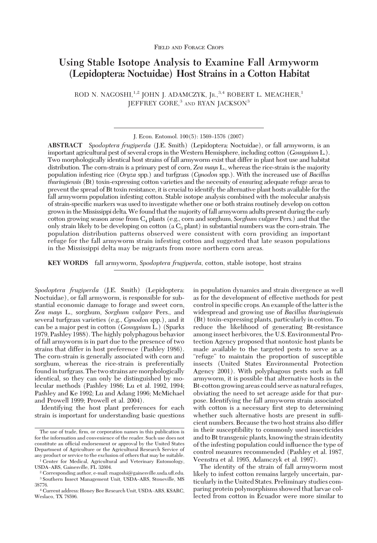# **Using Stable Isotope Analysis to Examine Fall Armyworm (Lepidoptera: Noctuidae) Host Strains in a Cotton Habitat**

ROD N. NAGOSHI, <sup>1,2</sup> JOHN J. ADAMCZYK, Jr., <sup>3,4</sup> ROBERT L. MEAGHER,<sup>1</sup> IEFFREY GORE.<sup>3</sup> AND RYAN IACKSON<sup>3</sup>

**ABSTRACT** *Spodoptera frugiperda* (J.E. Smith) (Lepidoptera: Noctuidae), or fall armyworm, is an important agricultural pest of several crops in the Western Hemisphere, including cotton (*Gossypium* L.). Two morphologically identical host strains of fall armyworm exist that differ in plant host use and habitat distribution. The corn-strain is a primary pest of corn, *Zea mays* L., whereas the rice-strain is the majority population infesting rice (*Oryza* spp.) and turfgrass (*Cynodon* spp.). With the increased use of *Bacillus thuringiensis* (Bt) toxin-expressing cotton varieties and the necessity of ensuring adequate refuge areas to prevent the spread of Bt toxin resistance, it is crucial to identify the alternative plant hosts available for the fall armyworm population infesting cotton. Stable isotope analysis combined with the molecular analysis of strain-specific markers was used to investigate whether one or both strains routinely develop on cotton grownin theMississippi delta.We found that the majority of fall armyworm adults present during the early cotton growing season arose from C4 plants (e.g., corn and sorghum, *Sorghum vulgare* Pers.) and that the only strain likely to be developing on cotton (a  $C_3$  plant) in substantial numbers was the corn-strain. The population distribution patterns observed were consistent with corn providing an important refuge for the fall armyworm strain infesting cotton and suggested that late season populations in the Mississippi delta may be migrants from more northern corn areas.

**KEY WORDS** fall armyworm, *Spodoptera frugiperda*, cotton, stable isotope, host strains

*Spodoptera frugiperda* (J.E. Smith) (Lepidoptera: Noctuidae), or fall armyworm, is responsible for substantial economic damage to forage and sweet corn, *Zea mays* L., sorghum, *Sorghum vulgare* Pers., and several turfgrass varieties (e.g., *Cynodon* spp.), and it can be a major pest in cotton (*Gossypium* L.) (Sparks 1979, Pashley 1988). The highly polyphagous behavior of fall armyworm is in part due to the presence of two strains that differ in host preference (Pashley 1986). The corn-strain is generally associated with corn and sorghum, whereas the rice-strain is preferentially found in turfgrass. The two strains are morphologically identical, so they can only be distinguished by molecular methods (Pashley 1986; Lu et al. 1992, 1994; Pashley and Ke 1992; Lu and Adang 1996; McMichael and Prowell 1999; Prowell et al. 2004).

Identifying the host plant preferences for each strain is important for understanding basic questions in population dynamics and strain divergence as well as for the development of effective methods for pest control in specific crops. An example of the latter is the widespread and growing use of *Bacillus thuringiensis* (Bt) toxin-expressing plants, particularly in cotton. To reduce the likelihood of generating Bt-resistance among insect herbivores, the U.S. Environmental Protection Agency proposed that nontoxic host plants be made available to the targeted pests to serve as a "refuge" to maintain the proportion of susceptible insects (United States Environmental Protection Agency 2001). With polyphagous pests such as fall armyworm, it is possible that alternative hosts in the Bt-cotton growing areas could serve as natural refuges, obviating the need to set acreage aside for that purpose. Identifying the fall armyworm strain associated with cotton is a necessary first step to determining whether such alternative hosts are present in sufficient numbers. Because the two host strains also differ in their susceptibility to commonly used insecticides and to Bt transgenic plants, knowing the strain identity of the infesting population could inßuence the type of control measures recommended (Pashley et al. 1987, Veenstra et al. 1995, Adamczyk et al. 1997).

The identity of the strain of fall armyworm most likely to infest cotton remains largely uncertain, particularly in the United States. Preliminary studies comparing protein polymorphisms showed that larvae collected from cotton in Ecuador were more similar to

J. Econ. Entomol. 100(5): 1569-1576 (2007)

The use of trade, firm, or corporation names in this publication is for the information and convenience of the reader. Such use does not constitute an official endorsement or approval by the United States Department of Agriculture or the Agricultural Research Service of any product or service to the exclusion of others that may be suitable.

<sup>&</sup>lt;sup>1</sup> Center for Medical, Agricultural and Veterinary Entomology, USDA-ARS, Gainesville, FL 32604.

<sup>2</sup> Corresponding author, e-mail: rnagoshi@gainesville.usda.uß.edu. <sup>3</sup> Southern Insect Management Unit, USDA-ARS, Stoneville, MS 38776.

<sup>&</sup>lt;sup>4</sup> Current address: Honey Bee Research Unit, USDA-ARS, KSARC, Weslaco, TX 78596.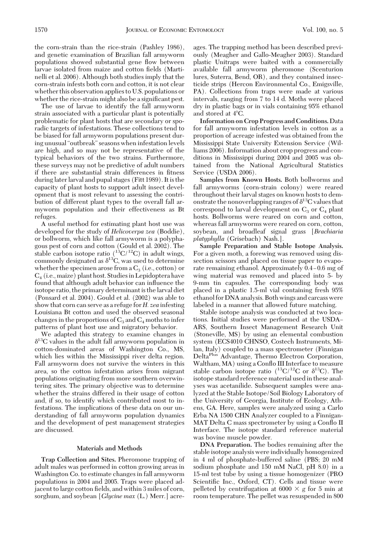the corn-strain than the rice-strain (Pashley 1986), and genetic examination of Brazilian fall armyworm populations showed substantial gene ßow between larvae isolated from maize and cotton fields (Martinelli et al. 2006). Although both studies imply that the corn-strain infests both corn and cotton, it is not clear whether this observation applies to U.S. populations or whether the rice-strain might also be a significant pest.

The use of larvae to identify the fall armyworm strain associated with a particular plant is potentially problematic for plant hosts that are secondary or sporadic targets of infestations. These collections tend to be biased for fall armyworm populations present during unusual"outbreak"seasons when infestation levels are high, and so may not be representative of the typical behaviors of the two strains. Furthermore, these surveys may not be predictive of adult numbers if there are substantial strain differences in fitness during later larval and pupal stages (Fitt 1989). It is the capacity of plant hosts to support adult insect development that is most relevant to assessing the contribution of different plant types to the overall fall armyworm population and their effectiveness as Bt refuges.

A useful method for estimating plant host use was developed for the study of *Helicoverpa zea* (Boddie), or bollworm, which like fall armyworm is a polyphagous pest of corn and cotton (Gould et al. 2002). The stable carbon isotope ratio  $(^{13}C/^{12}C)$  in adult wings, commonly designated as  $\delta^{13}C$ , was used to determine whether the specimen arose from a  $C_3$  (i.e., cotton) or  $C_4$  (i.e., maize) plant host. Studies in Lepidoptera have found that although adult behavior can inßuence the isotope ratio, the primary determinant is the larval diet (Ponsard et al. 2004). Gould et al. (2002) was able to show that corn can serve as a refuge for*H. zea* infesting Louisiana Bt cotton and used the observed seasonal changes in the proportions of  $C_3$  and  $C_4$  moths to infer patterns of plant host use and migratory behavior.

We adapted this strategy to examine changes in  $\delta^{13}$ C values in the adult fall armyworm population in cotton-dominated areas of Washington Co., MS, which lies within the Mississippi river delta region. Fall armyworm does not survive the winters in this area, so the cotton infestation arises from migrant populations originating from more southern overwintering sites. The primary objective was to determine whether the strains differed in their usage of cotton and, if so, to identify which contributed most to infestations. The implications of these data on our understanding of fall armyworm population dynamics and the development of pest management strategies are discussed.

#### **Materials and Methods**

**Trap Collection and Sites.** Pheromone trapping of adult males was performed in cotton growing areas in Washington Co. to estimate changes in fall armyworm populations in 2004 and 2005. Traps were placed adjacent to large cotton fields, and within 3 miles of corn, sorghum, and soybean [*Glycine max* (L.) Merr.] acreages. The trapping method has been described previously (Meagher and Gallo-Meagher 2003). Standard plastic Unitraps were baited with a commercially available fall armyworm pheromone (Scenturion lures, Suterra, Bend, OR), and they contained insecticide strips (Hercon Environmental Co., Emigsville, PA). Collections from traps were made at various intervals, ranging from 7 to 14 d. Moths were placed dry in plastic bags or in vials containing 95% ethanol and stored at 4°C.

**Information on Crop Progress and Conditions.** Data for fall armyworm infestation levels in cotton as a proportion of acreage infested was obtained from the Mississippi State University Extension Service (Williams 2006). Information about crop progress and conditions in Mississippi during 2004 and 2005 was obtained from the National Agricultural Statistics Service (USDA 2006).

**Samples from Known Hosts.** Both bollworms and fall armyworms (corn-strain colony) were reared throughout their larval stages on known hosts to demonstrate the nonoverlapping ranges of  $\delta^{13}C$  values that correspond to larval development on  $C_3$  or  $C_4$  plant hosts. Bollworms were reared on corn and cotton, whereas fall armyworms were reared on corn, cotton, soybean, and broadleaf signal grass [*Brachiaria platyphylla* (Grisebach) Nash.].

**Sample Preparation and Stable Isotope Analysis.** For a given moth, a forewing was removed using dissection scissors and placed on tissue paper to evaporate remaining ethanol. Approximately  $0.4 - 0.6$  mg of wing material was removed and placed into 5- by 9-mm tin capsules. The corresponding body was placed in a plastic 1.5-ml vial containing fresh 95% ethanol for DNA analysis. Both wings and carcass were labeled in a manner that allowed future matching.

Stable isotope analysis was conducted at two locations. Initial studies were performed at the USDA ARS, Southern Insect Management Research Unit (Stoneville, MS) by using an elemental combustion system (ECS4010 CHNSO, Costech Instruments, Milan, Italy) coupled to a mass spectrometer (Finnigan DeltaPlus Advantage, Thermo Electron Corporation, Waltham, MA) using a Conßo III Interface to measure stable carbon isotope ratio  $(^{13}C/^{12}C$  or  $\delta^{13}C)$ . The isotope standard reference material used in these analyses was acetanilide. Subsequent samples were analyzed at the Stable Isotope/Soil Biology Laboratory of the University of Georgia, Institute of Ecology, Athens, GA. Here, samples were analyzed using a Carlo Erba NA 1500 CHN Analyzer coupled to a Finnigan-MAT Delta C mass spectrometer by using a Conflo II Interface. The isotope standard reference material was bovine muscle powder.

**DNA Preparation.** The bodies remaining after the stable isotope analysis were individually homogenized in 4 ml of phosphate-buffered saline (PBS; 20 mM sodium phosphate and 150 mM NaCl, pH 8.0) in a 15-ml test tube by using a tissue homogenizer (PRO Scientific Inc., Oxford, CT). Cells and tissue were pelleted by centrifugation at 6000  $\times$  g for 5 min at room temperature. The pellet was resuspended in 800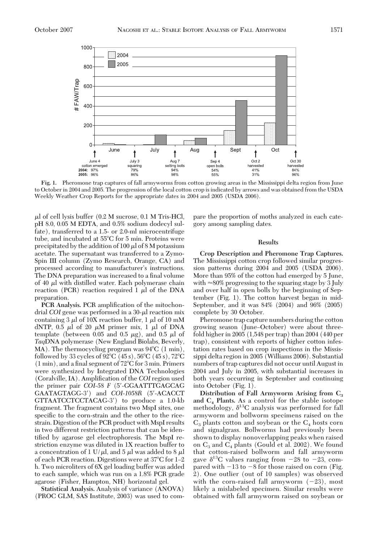

**Fig. 1.** Pheromone trap captures of fall armyworms from cotton growing areas in the Mississippi delta region from June to October in 2004 and 2005. The progression of the local cotton crop is indicated by arrows and was obtained from the USDA Weekly Weather Crop Reports for the appropriate dates in 2004 and 2005 (USDA 2006).

 $\mu$ l of cell lysis buffer (0.2 M sucrose, 0.1 M Tris-HCl, pH 8.0, 0.05 M EDTA, and 0.5% sodium dodecyl sulfate), transferred to a 1.5- or 2.0-ml microcentrifuge tube, and incubated at 55°C for 5 min. Proteins were precipitated by the addition of 100  $\mu$ l of 8 M potassium acetate. The supernatant was transferred to a Zymo-Spin III column (Zymo Research, Orange, CA) and processed according to manufacturer's instructions. The DNA preparation was increased to a final volume of 40  $\mu$ l with distilled water. Each polymerase chain reaction (PCR) reaction required  $1 \mu l$  of the DNA preparation.

**PCR Analysis.** PCR amplification of the mitochondrial *COI* gene was performed in a 30-µl reaction mix containing 3  $\mu$ l of 10X reaction buffer, 1  $\mu$ l of 10 mM dNTP, 0.5  $\mu$ l of 20  $\mu$ M primer mix, 1  $\mu$ l of DNA template (between 0.05 and 0.5  $\mu$ g), and 0.5  $\mu$ l of *Taq*DNA polymerase (New England Biolabs, Beverly, MA). The thermocycling program was  $94^{\circ}C$  (1 min), followed by 33 cycles of  $92^{\circ}$ C (45 s),  $56^{\circ}$ C (45 s),  $72^{\circ}$ C  $(1 min)$ , and a final segment of  $72^{\circ}$ C for 3 min. Primers were synthesized by Integrated DNA Technologies (Coralville, IA). Amplification of the *COI* region used the primer pair *COI-58 F* (5-GGAATTTGAGCAG GAATAGTAGG-3) and *COI*-*1058R* (5-ACACCT GTTAATCCTCCTACAG-3) to produce a 1.0-kb fragment. The fragment contains two MspI sites, one specific to the corn-strain and the other to the ricestrain. Digestion of the PCR product with MspI results in two different restriction patterns that can be identified by agarose gel electrophoresis. The MspI restriction enzyme was diluted in 1X reaction buffer to a concentration of 1 U/ $\mu$ l, and 5  $\mu$ l was added to 8  $\mu$ l of each PCR reaction. Digestions were at  $37^{\circ}$ C for 1–2 h. Two microliters of 6X gel loading buffer was added to each sample, which was run on a 1.8% PCR grade agarose (Fisher, Hampton, NH) horizontal gel.

**Statistical Analysis.** Analysis of variance (ANOVA) (PROC GLM, SAS Institute, 2003) was used to compare the proportion of moths analyzed in each category among sampling dates.

## **Results**

**Crop Description and Pheromone Trap Captures.** The Mississippi cotton crop followed similar progression patterns during 2004 and 2005 (USDA 2006). More than 95% of the cotton had emerged by 5 June, with  $\approx$ 80% progressing to the squaring stage by 3 July and over half in open bolls by the beginning of September (Fig. 1). The cotton harvest began in mid-September, and it was 84% (2004) and 96% (2005) complete by 30 October.

Pheromone trap capture numbers during the cotton growing season (June–October) were about threefold higher in 2005 (1,548 per trap) than 2004 (440 per trap), consistent with reports of higher cotton infestation rates based on crop inspections in the Mississippi delta region in 2005 (Williams 2006). Substantial numbers of trap captures did not occur until August in 2004 and July in 2005, with substantial increases in both years occurring in September and continuing into October (Fig. 1).

**Distribution of Fall Armyworm Arising from C3 and C4 Plants.** As a control for the stable isotope methodology,  $\delta^{13}C$  analysis was performed for fall armyworm and bollworm specimens raised on the  $C_3$  plants cotton and soybean or the  $C_4$  hosts corn and signalgrass. Bollworms had previously been shown to display nonoverlapping peaks when raised on  $C_3$  and  $C_4$  plants (Gould et al. 2002). We found that cotton-raised bollworm and fall armyworm gave  $\delta^{13}$ C values ranging from  $-28$  to  $-23$ , compared with  $-13$  to  $-8$  for those raised on corn (Fig. 2). One outlier (out of 10 samples) was observed with the corn-raised fall armyworm  $(-23)$ , most likely a mislabeled specimen. Similar results were obtained with fall armyworm raised on soybean or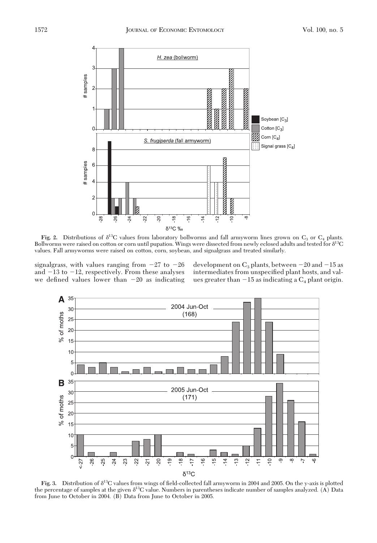

**Fig. 2.** Distributions of  $\delta^{13}C$  values from laboratory bollworms and fall armyworm lines grown on  $C_3$  or  $C_4$  plants. Bollworms were raised on cotton or corn until pupation. Wings were dissected from newly eclosed adults and tested for  $\delta^{13}C$ values. Fall armyworms were raised on cotton, corn, soybean, and signalgrass and treated similarly.

signalgrass, with values ranging from  $-27$  to  $-26$ and  $-13$  to  $-12$ , respectively. From these analyses we defined values lower than  $-20$  as indicating

development on  $C_3$  plants, between  $-20$  and  $-15$  as intermediates from unspecified plant hosts, and values greater than  $-15$  as indicating a  $C_4$  plant origin.



**Fig. 3.** Distribution of  $\delta^{13}C$  values from wings of field-collected fall armyworm in 2004 and 2005. On the y-axis is plotted the percentage of samples at the given  $\delta^{13}C$  value. Numbers in parentheses indicate number of samples analyzed. (A) Data from June to October in 2004. (B) Data from June to October in 2005.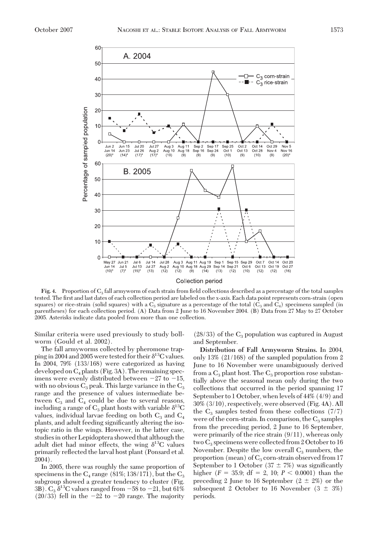

**Fig. 4.** Proportion of  $C_3$  fall armyworm of each strain from field collections described as a percentage of the total samples tested. The Þrst and last dates of each collection period are labeled on the x-axis. Each data point represents corn-strain (open squares) or rice-strain (solid squares) with a  $C_3$  signature as a percentage of the total ( $C_3$  and  $C_4$ ) specimens sampled (in parentheses) for each collection period. (A) Data from 2 June to 16 November 2004. (B) Data from 27 May to 27 October 2005. Asterisks indicate data pooled from more than one collection.

Similar criteria were used previously to study bollworm (Gould et al. 2002).

The fall armyworms collected by pheromone trapping in 2004 and 2005 were tested for their  $\delta^{13}$ C values. In 2004, 79% (133/168) were categorized as having developed on  $C_4$  plants (Fig. 3A). The remaining specimens were evenly distributed between  $-27$  to  $-15$ , with no obvious  $C_3$  peak. This large variance in the  $C_3$ range and the presence of values intermediate between  $C_3$  and  $C_4$  could be due to several reasons, including a range of  $C_3$  plant hosts with variable  $\delta^{13}C$ values, individual larvae feeding on both  $C_3$  and  $C_4$ plants, and adult feeding significantly altering the isotopic ratio in the wings. However, in the latter case, studies in other Lepidoptera showed that although the adult diet had minor effects, the wing  $\delta^{13}C$  values primarily reßected the larval host plant (Ponsard et al. 2004).

In 2005, there was roughly the same proportion of specimens in the  $C_4$  range (81%; 138/171), but the  $C_3$ subgroup showed a greater tendency to cluster (Fig. 3B).  $C_3 \delta^{13}$ C values ranged from  $-58$  to  $-21$ , but 61% (20/33) fell in the  $-22$  to  $-20$  range. The majority

 $(28/33)$  of the  $C_3$  population was captured in August and September.

**Distribution of Fall Armyworm Strains.** In 2004, only 13% (21/168) of the sampled population from 2 June to 16 November were unambiguously derived from a  $C_3$  plant host. The  $C_3$  proportion rose substantially above the seasonal mean only during the two collections that occurred in the period spanning 17 September to 1 October, when levels of 44% (4/9) and 30% (3/10), respectively, were observed (Fig. 4A). All the  $C_3$  samples tested from these collections (7/7) were of the corn-strain. In comparison, the  $C_3$  samples from the preceding period, 2 June to 16 September, were primarily of the rice strain (9/11), whereas only two  $C_3$  specimens were collected from 2 October to 16 November. Despite the low overall  $C_3$  numbers, the proportion (mean) of  $C_3$  corn-strain observed from 17 September to 1 October (37  $\pm$  7%) was significantly higher  $(F = 35.9; df = 2, 10; P < 0.0001)$  than the preceding 2 June to 16 September  $(2 \pm 2\%)$  or the subsequent 2 October to 16 November  $(3 \pm 3\%)$ periods.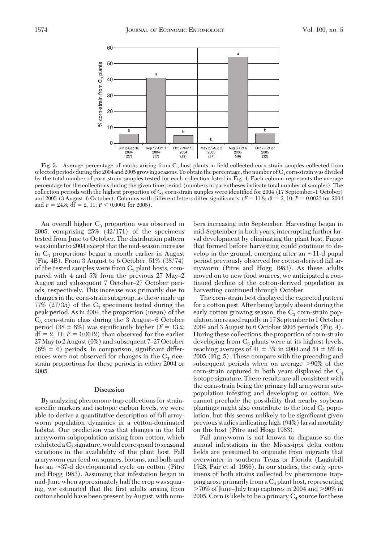

Fig. 5. Average percentage of moths arising from C<sub>3</sub> host plants in field-collected corn-strain samples collected from selected periods during the 2004 and 2005 growing seasons. To obtain the percentage, the number of  $C_3$  corn-strain was divided by the total number of corn-strain samples tested for each collection listed in Fig. 4. Each column represents the average percentage for the collections during the given time period (numbers in parentheses indicate total number of samples). The collection periods with the highest proportion of  $C_3$  corn-strain samples were identified for 2004 (17 September–1 October) and 2005 (3 August–6 October). Columns with different letters differ significantly ( $F = 11.8$ ;  $df = 2$ ,  $10$ ;  $P = 0.0023$  for 2004 and  $F = 24.8$ ;  $df = 2$ , 11;  $P < 0.0001$  for 2005).

An overall higher  $C_3$  proportion was observed in 2005, comprising 25% (42/171) of the specimens tested from June to October. The distribution pattern was similar to 2004 except that the mid-season increase in  $C_3$  proportions began a month earlier in August (Fig. 4B). From 3 August to 6 October, 51% (38/74) of the tested samples were from  $C_3$  plant hosts, compared with 4 and  $5\%$  from the previous 27 May-2 August and subsequent 7 October-27 October periods, respectively. This increase was primarily due to changes in the corn-strain subgroup, as these made up 77% (27/35) of the  $C_3$  specimens tested during the peak period. As in 2004, the proportion (mean) of the  $C_3$  corn-strain class during the 3 August–6 October period (38  $\pm$  8%) was significantly higher ( $F = 13.2$ ;  $df = 2$ , 11;  $P = 0.0012$ ) than observed for the earlier  $27$  May to 2 August (0%) and subsequent 7–27 October  $(6\% \pm 6)$  periods. In comparison, significant differences were not observed for changes in the  $C_3$  ricestrain proportions for these periods in either 2004 or 2005.

## **Discussion**

By analyzing pheromone trap collections for strainspecific markers and isotopic carbon levels, we were able to derive a quantitative description of fall armyworm population dynamics in a cotton-dominated habitat. Our prediction was that changes in the fall armyworm subpopulation arising from cotton, which exhibited a  $C_3$  signature, would correspond to seasonal variations in the availability of the plant host. Fall armyworm can feed on squares, blooms, and bolls and has an  $\approx$ 37-d developmental cycle on cotton (Pitre and Hogg 1983). Assuming that infestation began in mid-June when approximately half the crop was squaring, we estimated that the first adults arising from cotton should have been present by August, with numbers increasing into September. Harvesting began in mid-September in both years, interrupting further larval development by eliminating the plant host. Pupae that formed before harvesting could continue to develop in the ground, emerging after an  $\approx$ 11-d pupal period previously observed for cotton-derived fall armyworm (Pitre and Hogg 1983). As these adults moved on to new food sources, we anticipated a continued decline of the cotton-derived population as harvesting continued through October.

The corn-strain best displayed the expected pattern for a cotton pest. After being largely absent during the early cotton growing season, the  $C_3$  corn-strain population increased rapidly in 17 September to 1 October 2004 and 3 August to 6 October 2005 periods (Fig. 4). During these collections, the proportion of corn-strain developing from  $C_3$  plants were at its highest levels, reaching averages of 41  $\pm$  3% in 2004 and 54  $\pm$  8% in 2005 (Fig. 5). These compare with the preceding and subsequent periods when on average >90% of the corn-strain captured in both years displayed the  $C_4$ isotope signature. These results are all consistent with the corn-strain being the primary fall armyworm subpopulation infesting and developing on cotton. We cannot preclude the possibility that nearby soybean plantings might also contribute to the local  $C_3$  population, but this seems unlikely to be significant given previous studies indicating high (94%) larval mortality on this host (Pitre and Hogg 1983).

Fall armyworm is not known to diapause so the annual infestations in the Mississippi delta cotton fields are presumed to originate from migrants that overwinter in southern Texas or Florida (Luginbill 1928, Pair et al. 1986). In our studies, the early specimens of both strains collected by pheromone trapping arose primarily from a  $C_4$  plant host, representing  $>70\%$  of June-July trap captures in 2004 and  $>90\%$  in 2005. Corn is likely to be a primary  $C_4$  source for these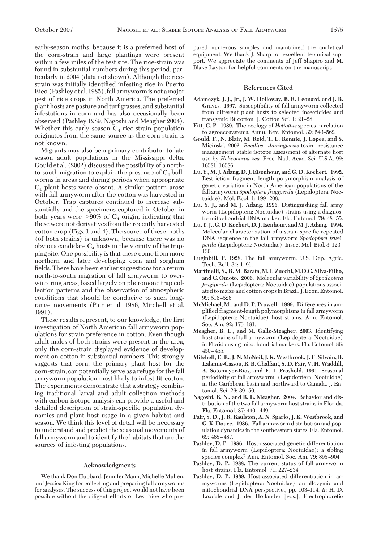early-season moths, because it is a preferred host of the corn-strain and large plantings were present within a few miles of the test site. The rice-strain was found in substantial numbers during this period, particularly in 2004 (data not shown). Although the ricestrain was initially identified infesting rice in Puerto Rico (Pashley et al. 1985), fall armywormis not a major pest of rice crops in North America. The preferred plant hosts are pasture and turf grasses, and substantial infestations in corn and has also occasionally been observed (Pashley 1989, Nagoshi and Meagher 2004). Whether this early season  $C_4$  rice-strain population originates from the same source as the corn-strain is not known.

Migrants may also be a primary contributor to late season adult populations in the Mississippi delta. Gould et al. (2002) discussed the possibility of a northto-south migration to explain the presence of  $C_4$  bollworms in areas and during periods when appropriate  $C_4$  plant hosts were absent. A similar pattern arose with fall armyworm after the cotton was harvested in October. Trap captures continued to increase substantially and the specimens captured in October in both years were  $>90\%$  of  $C_4$  origin, indicating that these were not derivatives from the recently harvested cotton crop (Figs. 1 and 4). The source of these moths (of both strains) is unknown, because there was no obvious candidate  $C_4$  hosts in the vicinity of the trapping site. One possibility is that these come from more northern and later developing corn and sorghum fields. There have been earlier suggestions for a return north-to-south migration of fall armyworm to overwintering areas, based largely on pheromone trap collection patterns and the observation of atmospheric conditions that should be conducive to such longrange movements (Pair et al. 1986, Mitchell et al. 1991).

These results represent, to our knowledge, the first investigation of North American fall armyworm populations for strain preference in cotton. Even though adult males of both strains were present in the area, only the corn-strain displayed evidence of development on cotton in substantial numbers. This strongly suggests that corn, the primary plant host for the corn-strain, can potentially serve as a refuge for the fall armyworm population most likely to infest Bt-cotton. The experiments demonstrate that a strategy combining traditional larval and adult collection methods with carbon isotope analysis can provide a useful and detailed description of strain-specific population dynamics and plant host usage in a given habitat and season. We think this level of detail will be necessary to understand and predict the seasonal movements of fall armyworm and to identify the habitats that are the sources of infesting populations.

#### **Acknowledgments**

We thank Don Hubbard, Jennifer Mann, Michelle Mullen, and Jessica King for collecting and preparing fall armyworms for analyses. The success of this project would not have been possible without the diligent efforts of Les Price who prepared numerous samples and maintained the analytical equipment. We thank J. Sharp for excellent technical support. We appreciate the comments of Jeff Shapiro and M. Blake Layton for helpful comments on the manuscript.

## **References Cited**

- **Adamczyk, J. J., Jr., J. W. Holloway, B. R. Leonard, and J. B. Graves. 1997.** Susceptibility of fall armyworm collected from different plant hosts to selected insecticides and transgenic Bt cotton. J. Cotton Sci. 1: 21-28.
- **Fitt, G. P. 1989.** The ecology of *Heliothis* species in relation to agroecosystems. Annu. Rev. Entomol. 39: 543-562.
- **Gould, F., N. Blair, M. Reid, T. L. Rennie, J. Lopez, and S. Micinski. 2002.** *Bacillus thuringiensis*-toxin resistance management: stable isotope assessment of alternate host use by *Helicoverpa zea.* Proc. Natl. Acad. Sci. U.S.A. 99: 16581-16586.
- **Lu, Y., M. J. Adang, D. J. Eisenhour, and G. D. Kochert. 1992.** Restriction fragment length polymorphism analysis of genetic variation in North American populations of the fall armyworm *Spodoptera frugiperda* (Lepidoptera: Noctuidae). Mol. Ecol. 1: 199-208.
- **Lu, Y. J., and M. J. Adang. 1996.** Distinguishing fall army worm (Lepidoptera: Noctuidae) strains using a diagnostic mitochondrial DNA marker. Fla. Entomol. 79: 48-55.
- **Lu, Y. J., G. D. Kochert, D. J. Isenhour, andM. J. Adang. 1994.** Molecular characterization of a strain-specific repeated DNA sequence in the fall armyworm *Spodoptera frugi*perda (Lepidoptera: Noctuidae). Insect Mol. Biol. 3: 123-130.
- **Luginbill, P. 1928.** The fall armyworm. U.S. Dep. Agric. Tech. Bull. 34: 1-91.
- **Martinelli, S., R. M. Barata, M. I. Zucchi, M.D.C. Silva-Filho, and C. Omoto. 2006.** Molecular variability of *Spodoptera frugiperda* (Lepidoptera: Noctuidae) populations associated to maize and cotton cropsin Brazil. J. Econ. Entomol.  $99.516 - 526$
- **McMichael, M., and D. P. Prowell. 1999.** Differences in amplified fragment-length polymorphisms in fall armyworm (Lepidoptera: Noctuidae) host strains. Ann. Entomol. Soc. Am. 92: 175-181.
- **Meagher, R. L., and M. Gallo-Meagher. 2003.** Identifying host strains of fall armyworm (Lepidoptera: Noctuidae) in Florida using mitochondrial markers. Fla. Entomol. 86:  $450 - 455$
- **Mitchell, E. R., J. N. McNeil, J. K. Westbrook, J. F. Silvain, B. Lalanne-Cassou, R. B. Chalfant, S. D. Pair, V. H. Waddill, A. Sotomayor-Rios, and F. I. Proshold. 1991.** Seasonal periodicity of fall armyworm, (Lepidoptera: Noctuidae) in the Caribbean basin and northward to Canada. J. Entomol. Sci. 26: 39-50.
- **Nagoshi, R. N., and R. L. Meagher. 2004.** Behavior and distribution of the two fall armyworm host strains in Florida. Fla. Entomol. 87: 440-449.
- **Pair, S. D., J. R. Raulston, A. N. Sparks, J. K. Westbrook, and G. K. Douce. 1986.** Fall armyworm distribution and population dynamics in the southeastern states. Fla. Entomol.  $69.468 - 487$
- **Pashley, D. P. 1986.** Host-associated genetic differentiation in fall armyworm (Lepidoptera: Noctuidae): a sibling species complex? Ann. Entomol. Soc. Am. 79: 898-904.
- **Pashley, D. P. 1988.** The current status of fall armyworm host strains. Fla. Entomol. 71: 227-234.
- **Pashley, D. P. 1989.** Host-associated differentiation in armyworms (Lepidoptera: Noctuidae): an allozymic and mitochondrial DNA perspective., pp. 103-114. *In* H. D. Loxdale and J. der Hollander [eds.], Electrophoretic